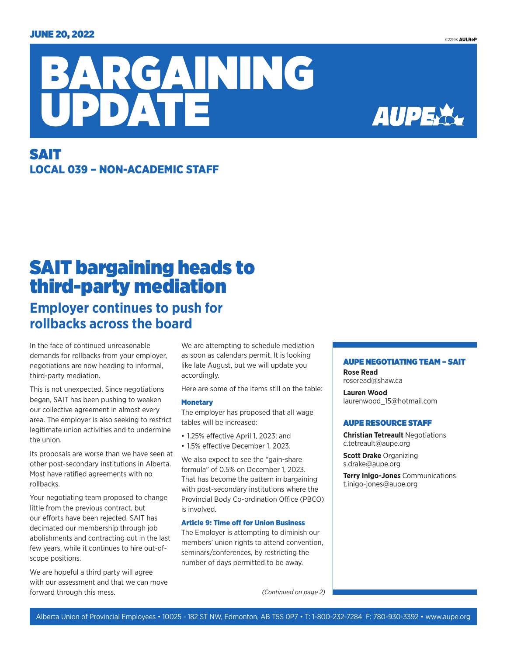

## SAIT LOCAL 039 – NON-ACADEMIC STAFF

# SAIT bargaining heads to third-party mediation

### **Employer continues to push for rollbacks across the board**

In the face of continued unreasonable demands for rollbacks from your employer, negotiations are now heading to informal, third-party mediation.

This is not unexpected. Since negotiations began, SAIT has been pushing to weaken our collective agreement in almost every area. The employer is also seeking to restrict legitimate union activities and to undermine the union.

Its proposals are worse than we have seen at other post-secondary institutions in Alberta. Most have ratified agreements with no rollbacks.

Your negotiating team proposed to change little from the previous contract, but our efforts have been rejected. SAIT has decimated our membership through job abolishments and contracting out in the last few years, while it continues to hire out-ofscope positions.

We are hopeful a third party will agree with our assessment and that we can move forward through this mess.

We are attempting to schedule mediation as soon as calendars permit. It is looking like late August, but we will update you accordingly.

Here are some of the items still on the table:

#### **Monetary**

The employer has proposed that all wage tables will be increased:

- 1.25% effective April 1, 2023; and
- 1.5% effective December 1, 2023.

We also expect to see the "gain-share formula" of 0.5% on December 1, 2023. That has become the pattern in bargaining with post-secondary institutions where the Provincial Body Co-ordination Office (PBCO) is involved.

#### Article 9: Time off for Union Business

The Employer is attempting to diminish our members' union rights to attend convention, seminars/conferences, by restricting the number of days permitted to be away.

*(Continued on page 2)*

#### AUPE NEGOTIATING TEAM – SAIT

**Rose Read**  roseread@shaw.ca

**Lauren Wood** laurenwood\_15@hotmail.com

#### AUPE RESOURCE STAFF

**Christian Tetreault** Negotiations c.tetreault@aupe.org

**Scott Drake** Organizing s.drake@aupe.org

**Terry Inigo-Jones** Communications t.inigo-jones@aupe.org